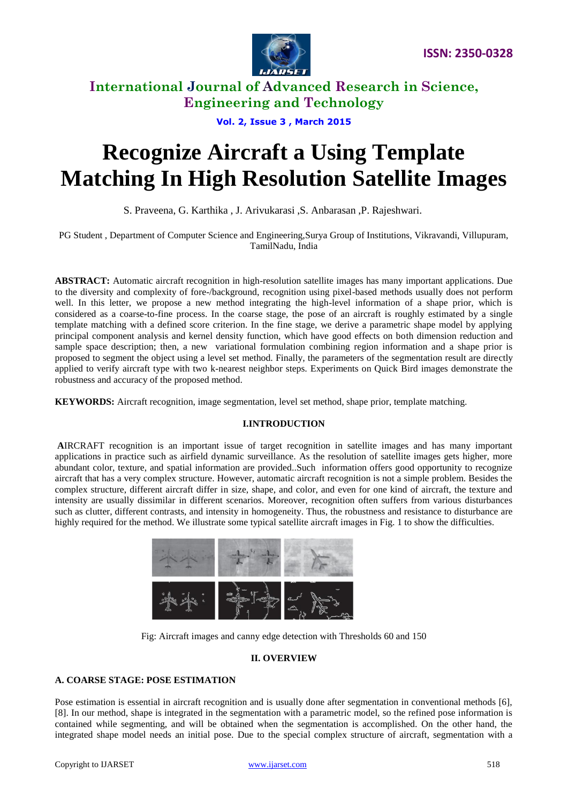

**Vol. 2, Issue 3 , March 2015**

# **Recognize Aircraft a Using Template Matching In High Resolution Satellite Images**

S. Praveena, G. Karthika , J. Arivukarasi ,S. Anbarasan ,P. Rajeshwari.

PG Student , Department of Computer Science and Engineering,Surya Group of Institutions, Vikravandi, Villupuram, TamilNadu, India

**ABSTRACT:** Automatic aircraft recognition in high-resolution satellite images has many important applications. Due to the diversity and complexity of fore-/background, recognition using pixel-based methods usually does not perform well. In this letter, we propose a new method integrating the high-level information of a shape prior, which is considered as a coarse-to-fine process. In the coarse stage, the pose of an aircraft is roughly estimated by a single template matching with a defined score criterion. In the fine stage, we derive a parametric shape model by applying principal component analysis and kernel density function, which have good effects on both dimension reduction and sample space description; then, a new variational formulation combining region information and a shape prior is proposed to segment the object using a level set method. Finally, the parameters of the segmentation result are directly applied to verify aircraft type with two k-nearest neighbor steps. Experiments on Quick Bird images demonstrate the robustness and accuracy of the proposed method.

**KEYWORDS:** Aircraft recognition, image segmentation, level set method, shape prior, template matching.

# **I.INTRODUCTION**

**A**IRCRAFT recognition is an important issue of target recognition in satellite images and has many important applications in practice such as airfield dynamic surveillance. As the resolution of satellite images gets higher, more abundant color, texture, and spatial information are provided..Such information offers good opportunity to recognize aircraft that has a very complex structure. However, automatic aircraft recognition is not a simple problem. Besides the complex structure, different aircraft differ in size, shape, and color, and even for one kind of aircraft, the texture and intensity are usually dissimilar in different scenarios. Moreover, recognition often suffers from various disturbances such as clutter, different contrasts, and intensity in homogeneity. Thus, the robustness and resistance to disturbance are highly required for the method. We illustrate some typical satellite aircraft images in Fig. 1 to show the difficulties.



Fig: Aircraft images and canny edge detection with Thresholds 60 and 150

# **II. OVERVIEW**

# **A. COARSE STAGE: POSE ESTIMATION**

Pose estimation is essential in aircraft recognition and is usually done after segmentation in conventional methods [6], [8]. In our method, shape is integrated in the segmentation with a parametric model, so the refined pose information is contained while segmenting, and will be obtained when the segmentation is accomplished. On the other hand, the integrated shape model needs an initial pose. Due to the special complex structure of aircraft, segmentation with a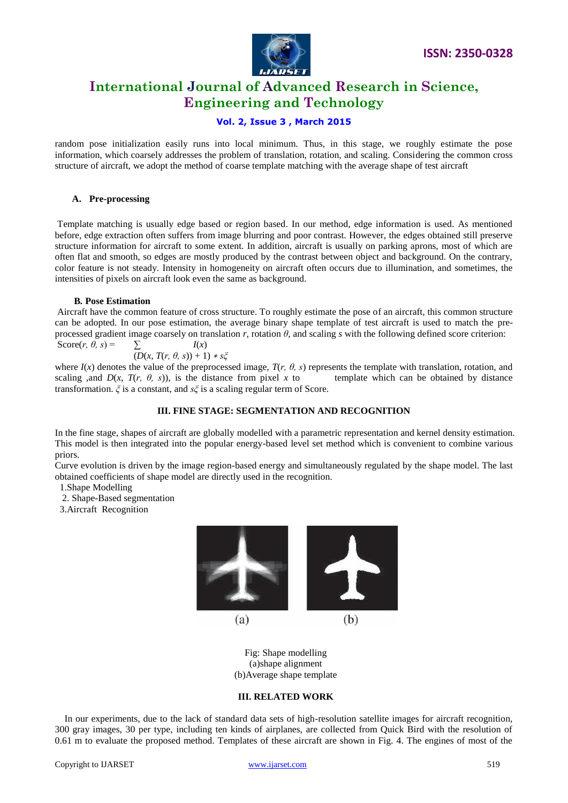

# **Vol. 2, Issue 3 , March 2015**

random pose initialization easily runs into local minimum. Thus, in this stage, we roughly estimate the pose information, which coarsely addresses the problem of translation, rotation, and scaling. Considering the common cross structure of aircraft, we adopt the method of coarse template matching with the average shape of test aircraft

## **A. Pre-processing**

Template matching is usually edge based or region based. In our method, edge information is used. As mentioned before, edge extraction often suffers from image blurring and poor contrast. However, the edges obtained still preserve structure information for aircraft to some extent. In addition, aircraft is usually on parking aprons, most of which are often flat and smooth, so edges are mostly produced by the contrast between object and background. On the contrary, color feature is not steady. Intensity in homogeneity on aircraft often occurs due to illumination, and sometimes, the intensities of pixels on aircraft look even the same as background.

### **B***.* **Pose Estimation**

Aircraft have the common feature of cross structure. To roughly estimate the pose of an aircraft, this common structure can be adopted. In our pose estimation, the average binary shape template of test aircraft is used to match the preprocessed gradient image coarsely on translation  $r$ , rotation  $\theta$ , and scaling  $s$  with the following defined score criterion: Score $(r, \theta, s)$  =  $\sum_{x}$  *I(x)* 

$$
(D(x, T(r, \theta, s)) + 1) * s\xi
$$

where  $I(x)$  denotes the value of the preprocessed image,  $T(r, \theta, s)$  represents the template with translation, rotation, and scaling ,and  $D(x, T(r, \theta, s))$ , is the distance from pixel x to template which can be obtained by distance transformation. *ξ* is a constant, and *sξ* is a scaling regular term of Score.

# **III. FINE STAGE: SEGMENTATION AND RECOGNITION**

In the fine stage, shapes of aircraft are globally modelled with a parametric representation and kernel density estimation. This model is then integrated into the popular energy-based level set method which is convenient to combine various priors.

Curve evolution is driven by the image region-based energy and simultaneously regulated by the shape model. The last obtained coefficients of shape model are directly used in the recognition.

1.Shape Modelling

2. Shape-Based segmentation

3.Aircraft Recognition



Fig: Shape modelling (a)shape alignment (b)Average shape template

# **III. RELATED WORK**

 In our experiments, due to the lack of standard data sets of high-resolution satellite images for aircraft recognition, 300 gray images, 30 per type, including ten kinds of airplanes, are collected from Quick Bird with the resolution of 0.61 m to evaluate the proposed method. Templates of these aircraft are shown in Fig. 4. The engines of most of the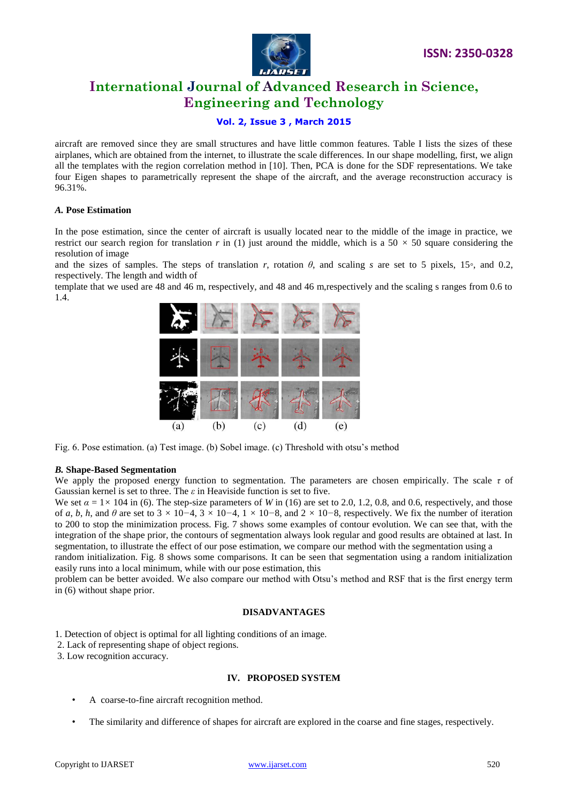

# **Vol. 2, Issue 3 , March 2015**

aircraft are removed since they are small structures and have little common features. Table I lists the sizes of these airplanes, which are obtained from the internet, to illustrate the scale differences. In our shape modelling, first, we align all the templates with the region correlation method in [10]. Then, PCA is done for the SDF representations. We take four Eigen shapes to parametrically represent the shape of the aircraft, and the average reconstruction accuracy is 96.31%.

## *A.* **Pose Estimation**

In the pose estimation, since the center of aircraft is usually located near to the middle of the image in practice, we restrict our search region for translation *r* in (1) just around the middle, which is a  $50 \times 50$  square considering the resolution of image

and the sizes of samples. The steps of translation *r*, rotation  $\theta$ , and scaling *s* are set to 5 pixels, 15<sup>*°*</sup>, and 0.2, respectively. The length and width of

template that we used are 48 and 46 m, respectively, and 48 and 46 m,respectively and the scaling s ranges from 0.6 to 1.4.



Fig. 6. Pose estimation. (a) Test image. (b) Sobel image. (c) Threshold with otsu's method

# *B.* **Shape-Based Segmentation**

We apply the proposed energy function to segmentation. The parameters are chosen empirically. The scale *τ* of Gaussian kernel is set to three. The *ε* in Heaviside function is set to five.

We set  $\alpha = 1 \times 104$  in (6). The step-size parameters of *W* in (16) are set to 2.0, 1.2, 0.8, and 0.6, respectively, and those of *a*, *b*, *h*, and  $\theta$  are set to 3 × 10−4, 3 × 10−4, 1 × 10−8, and 2 × 10−8, respectively. We fix the number of iteration to 200 to stop the minimization process. Fig. 7 shows some examples of contour evolution. We can see that, with the integration of the shape prior, the contours of segmentation always look regular and good results are obtained at last. In segmentation, to illustrate the effect of our pose estimation, we compare our method with the segmentation using a

random initialization. Fig. 8 shows some comparisons. It can be seen that segmentation using a random initialization easily runs into a local minimum, while with our pose estimation, this

problem can be better avoided. We also compare our method with Otsu's method and RSF that is the first energy term in (6) without shape prior.

#### **DISADVANTAGES**

- 1. Detection of object is optimal for all lighting conditions of an image.
- 2. Lack of representing shape of object regions.

3. Low recognition accuracy.

# **IV. PROPOSED SYSTEM**

- A coarse-to-fine aircraft recognition method.
- The similarity and difference of shapes for aircraft are explored in the coarse and fine stages, respectively.